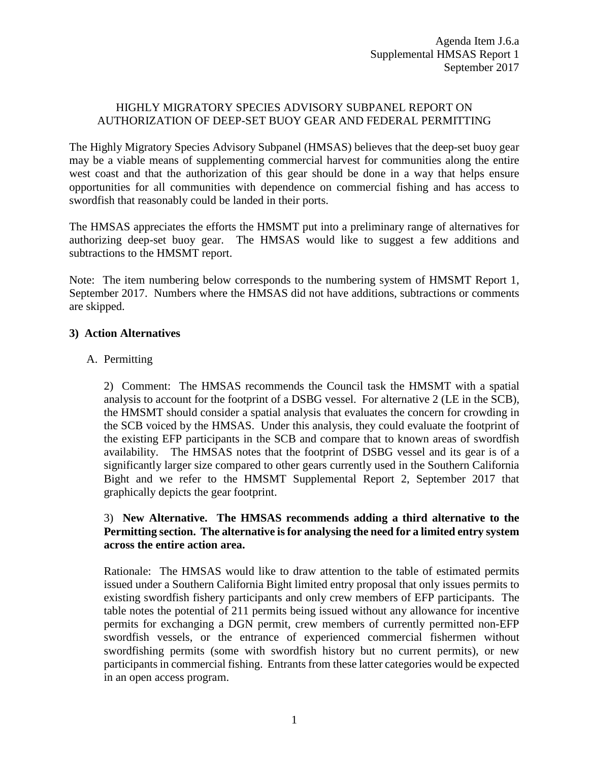## HIGHLY MIGRATORY SPECIES ADVISORY SUBPANEL REPORT ON AUTHORIZATION OF DEEP-SET BUOY GEAR AND FEDERAL PERMITTING

The Highly Migratory Species Advisory Subpanel (HMSAS) believes that the deep-set buoy gear may be a viable means of supplementing commercial harvest for communities along the entire west coast and that the authorization of this gear should be done in a way that helps ensure opportunities for all communities with dependence on commercial fishing and has access to swordfish that reasonably could be landed in their ports.

The HMSAS appreciates the efforts the HMSMT put into a preliminary range of alternatives for authorizing deep-set buoy gear. The HMSAS would like to suggest a few additions and subtractions to the HMSMT report.

Note: The item numbering below corresponds to the numbering system of HMSMT Report 1, September 2017. Numbers where the HMSAS did not have additions, subtractions or comments are skipped.

## **3) Action Alternatives**

### A. Permitting

2) Comment: The HMSAS recommends the Council task the HMSMT with a spatial analysis to account for the footprint of a DSBG vessel. For alternative 2 (LE in the SCB), the HMSMT should consider a spatial analysis that evaluates the concern for crowding in the SCB voiced by the HMSAS. Under this analysis, they could evaluate the footprint of the existing EFP participants in the SCB and compare that to known areas of swordfish availability. The HMSAS notes that the footprint of DSBG vessel and its gear is of a significantly larger size compared to other gears currently used in the Southern California Bight and we refer to the HMSMT Supplemental Report 2, September 2017 that graphically depicts the gear footprint.

## 3) **New Alternative. The HMSAS recommends adding a third alternative to the Permitting section. The alternative is for analysing the need for a limited entry system across the entire action area.**

Rationale: The HMSAS would like to draw attention to the table of estimated permits issued under a Southern California Bight limited entry proposal that only issues permits to existing swordfish fishery participants and only crew members of EFP participants. The table notes the potential of 211 permits being issued without any allowance for incentive permits for exchanging a DGN permit, crew members of currently permitted non-EFP swordfish vessels, or the entrance of experienced commercial fishermen without swordfishing permits (some with swordfish history but no current permits), or new participants in commercial fishing. Entrants from these latter categories would be expected in an open access program.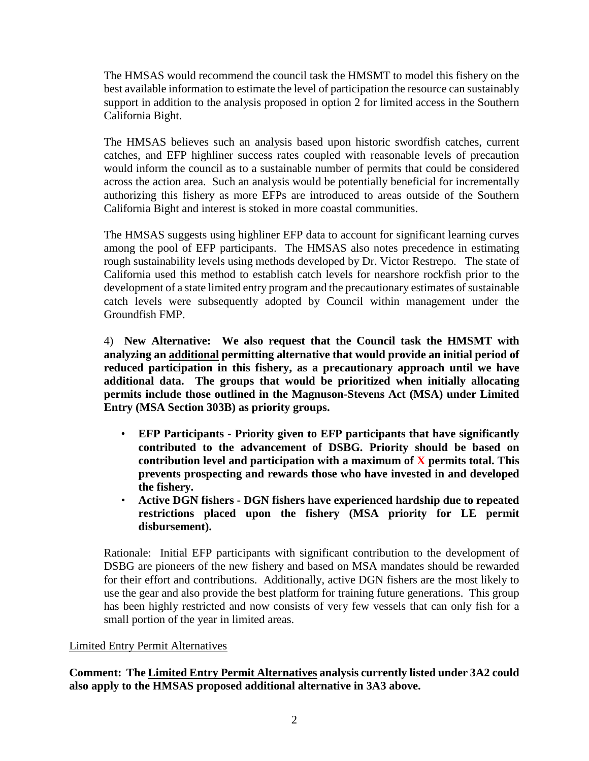The HMSAS would recommend the council task the HMSMT to model this fishery on the best available information to estimate the level of participation the resource can sustainably support in addition to the analysis proposed in option 2 for limited access in the Southern California Bight.

The HMSAS believes such an analysis based upon historic swordfish catches, current catches, and EFP highliner success rates coupled with reasonable levels of precaution would inform the council as to a sustainable number of permits that could be considered across the action area. Such an analysis would be potentially beneficial for incrementally authorizing this fishery as more EFPs are introduced to areas outside of the Southern California Bight and interest is stoked in more coastal communities.

The HMSAS suggests using highliner EFP data to account for significant learning curves among the pool of EFP participants. The HMSAS also notes precedence in estimating rough sustainability levels using methods developed by Dr. Victor Restrepo. The state of California used this method to establish catch levels for nearshore rockfish prior to the development of a state limited entry program and the precautionary estimates of sustainable catch levels were subsequently adopted by Council within management under the Groundfish FMP.

4) **New Alternative: We also request that the Council task the HMSMT with analyzing an additional permitting alternative that would provide an initial period of reduced participation in this fishery, as a precautionary approach until we have additional data. The groups that would be prioritized when initially allocating permits include those outlined in the Magnuson-Stevens Act (MSA) under Limited Entry (MSA Section 303B) as priority groups.** 

- **EFP Participants - Priority given to EFP participants that have significantly contributed to the advancement of DSBG. Priority should be based on contribution level and participation with a maximum of X permits total. This prevents prospecting and rewards those who have invested in and developed the fishery.**
- **Active DGN fishers - DGN fishers have experienced hardship due to repeated restrictions placed upon the fishery (MSA priority for LE permit disbursement).**

Rationale: Initial EFP participants with significant contribution to the development of DSBG are pioneers of the new fishery and based on MSA mandates should be rewarded for their effort and contributions. Additionally, active DGN fishers are the most likely to use the gear and also provide the best platform for training future generations. This group has been highly restricted and now consists of very few vessels that can only fish for a small portion of the year in limited areas.

## Limited Entry Permit Alternatives

**Comment: The Limited Entry Permit Alternatives analysis currently listed under 3A2 could also apply to the HMSAS proposed additional alternative in 3A3 above.**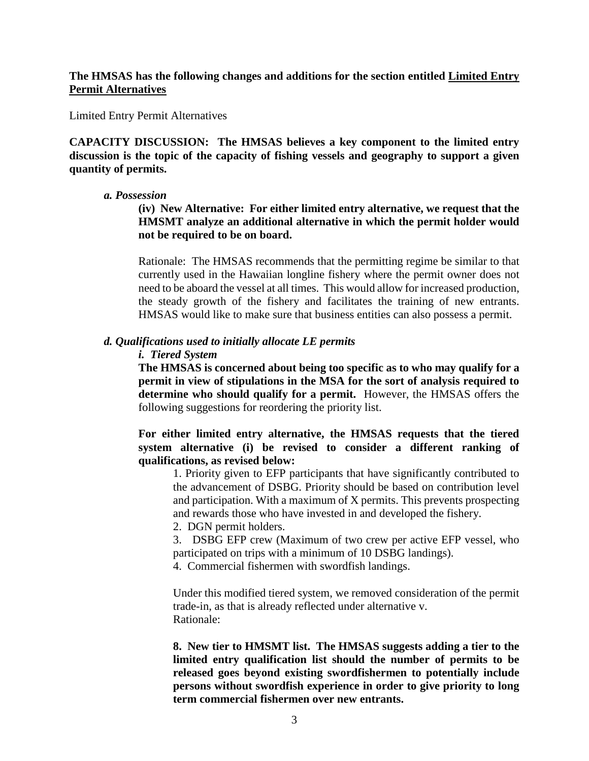### **The HMSAS has the following changes and additions for the section entitled Limited Entry Permit Alternatives**

Limited Entry Permit Alternatives

**CAPACITY DISCUSSION: The HMSAS believes a key component to the limited entry discussion is the topic of the capacity of fishing vessels and geography to support a given quantity of permits.** 

#### *a. Possession*

**(iv) New Alternative: For either limited entry alternative, we request that the HMSMT analyze an additional alternative in which the permit holder would not be required to be on board.** 

Rationale: The HMSAS recommends that the permitting regime be similar to that currently used in the Hawaiian longline fishery where the permit owner does not need to be aboard the vessel at all times. This would allow for increased production, the steady growth of the fishery and facilitates the training of new entrants. HMSAS would like to make sure that business entities can also possess a permit.

#### *d. Qualifications used to initially allocate LE permits*

#### *i. Tiered System*

**The HMSAS is concerned about being too specific as to who may qualify for a permit in view of stipulations in the MSA for the sort of analysis required to determine who should qualify for a permit.** However, the HMSAS offers the following suggestions for reordering the priority list.

**For either limited entry alternative, the HMSAS requests that the tiered system alternative (i) be revised to consider a different ranking of qualifications, as revised below:**

1. Priority given to EFP participants that have significantly contributed to the advancement of DSBG. Priority should be based on contribution level and participation. With a maximum of X permits. This prevents prospecting and rewards those who have invested in and developed the fishery.

2. DGN permit holders.

3. DSBG EFP crew (Maximum of two crew per active EFP vessel, who participated on trips with a minimum of 10 DSBG landings).

4. Commercial fishermen with swordfish landings.

Under this modified tiered system, we removed consideration of the permit trade-in, as that is already reflected under alternative v. Rationale:

**8. New tier to HMSMT list. The HMSAS suggests adding a tier to the limited entry qualification list should the number of permits to be released goes beyond existing swordfishermen to potentially include persons without swordfish experience in order to give priority to long term commercial fishermen over new entrants.**